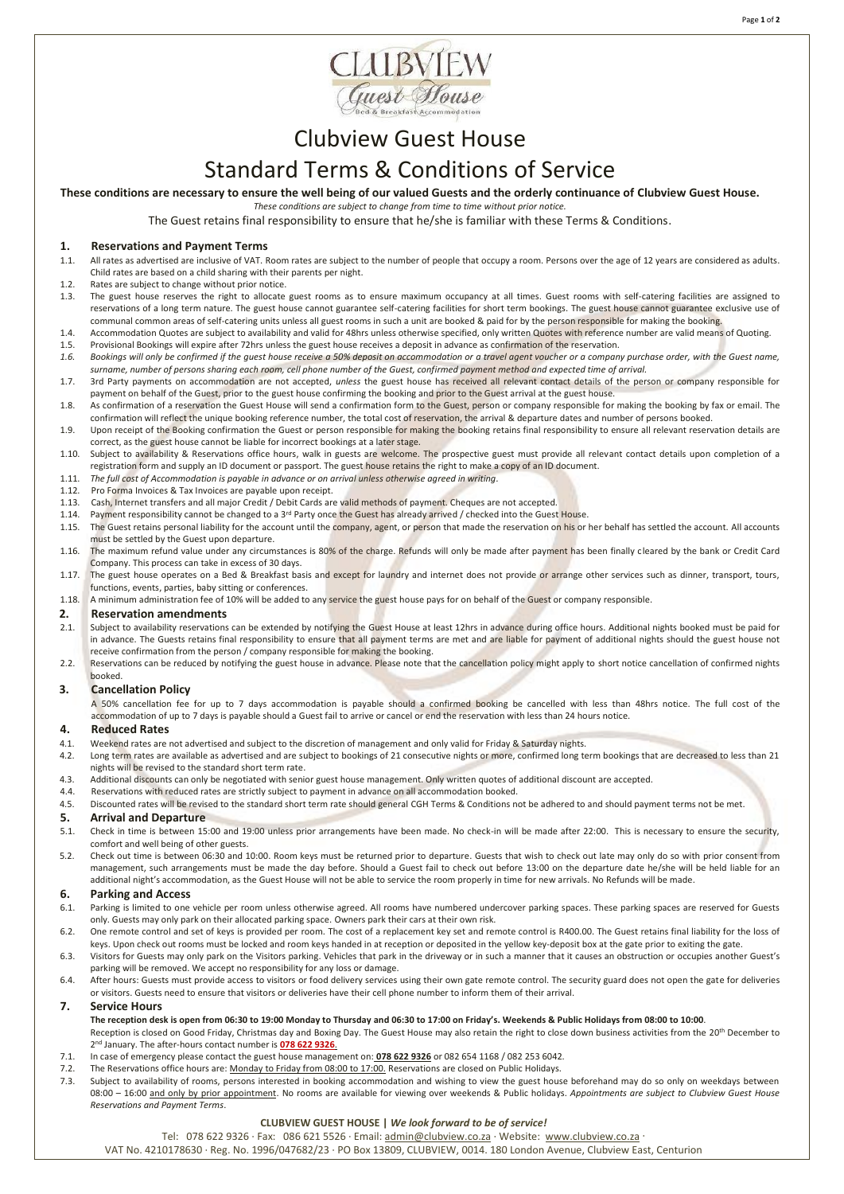



# Clubview Guest House

## Standard Terms & Conditions of Service

**These conditions are necessary to ensure the well being of our valued Guests and the orderly continuance of Clubview Guest House.**

*These conditions are subject to change from time to time without prior notice.*

The Guest retains final responsibility to ensure that he/she is familiar with these Terms & Conditions.

#### **1. Reservations and Payment Terms**

- 1.1. All rates as advertised are inclusive of VAT. Room rates are subject to the number of people that occupy a room. Persons over the age of 12 years are considered as adults. Child rates are based on a child sharing with their parents per night.
- 1.2. Rates are subject to change without prior notice.
- 1.3. The guest house reserves the right to allocate guest rooms as to ensure maximum occupancy at all times. Guest rooms with self-catering facilities are assigned to reservations of a long term nature. The guest house cannot guarantee self-catering facilities for short term bookings. The guest house cannot guarantee exclusive use of communal common areas of self-catering units unless all guest rooms in such a unit are booked & paid for by the person responsible for making the booking.
- 1.4. Accommodation Quotes are subject to availability and valid for 48hrs unless otherwise specified, only written Quotes with reference number are valid means of Quoting. 1.5. Provisional Bookings will expire after 72hrs unless the guest house receives a deposit in advance as confirmation of the reservation.
- 1.6. Bookings will only be confirmed if the guest house receive a 50% deposit on accommodation or a travel agent voucher or a company purchase order, with the Guest name, *surname, number of persons sharing each room, cell phone number of the Guest, confirmed payment method and expected time of arrival.*
- 1.7. 3rd Party payments on accommodation are not accepted, *unless* the guest house has received all relevant contact details of the person or company responsible for payment on behalf of the Guest, prior to the guest house confirming the booking and prior to the Guest arrival at the guest house
- 1.8. As confirmation of a reservation the Guest House will send a confirmation form to the Guest, person or company responsible for making the booking by fax or email. The confirmation will reflect the unique booking reference number, the total cost of reservation, the arrival & departure dates and number of persons booked.
- 1.9. Upon receipt of the Booking confirmation the Guest or person responsible for making the booking retains final responsibility to ensure all relevant reservation details are correct, as the guest house cannot be liable for incorrect bookings at a later stage.
- 1.10. Subject to availability & Reservations office hours, walk in guests are welcome. The prospective guest must provide all relevant contact details upon completion of a registration form and supply an ID document or passport. The guest house retains the right to make a copy of an ID document.
- 1.11. *The full cost of Accommodation is payable in advance or on arrival unless otherwise agreed in writing.*
- 1.12. Pro Forma Invoices & Tax Invoices are payable upon receipt.
- 1.13. Cash, Internet transfers and all major Credit / Debit Cards are valid methods of payment. Cheques are not accepted.
- 1.14. Payment responsibility cannot be changed to a 3rd Party once the Guest has already arrived / checked into the Guest House.
- 1.15. The Guest retains personal liability for the account until the company, agent, or person that made the reservation on his or her behalf has settled the account. All accounts must be settled by the Guest upon departure.
- 1.16. The maximum refund value under any circumstances is 80% of the charge. Refunds will only be made after payment has been finally cleared by the bank or Credit Card Company. This process can take in excess of 30 days.
- 1.17. The guest house operates on a Bed & Breakfast basis and except for laundry and internet does not provide or arrange other services such as dinner, transport, tours, functions, events, parties, baby sitting or conferences.
- 1.18. A minimum administration fee of 10% will be added to any service the guest house pays for on behalf of the Guest or company responsible.

### **2. Reservation amendments**<br>**2.1.** Subject to availability reservations

- Subject to availability reservations can be extended by notifying the Guest House at least 12hrs in advance during office hours. Additional nights booked must be paid for in advance. The Guests retains final responsibility to ensure that all payment terms are met and are liable for payment of additional nights should the guest house not receive confirmation from the person / company responsible for making the booking.
- 2.2. Reservations can be reduced by notifying the guest house in advance. Please note that the cancellation policy might apply to short notice cancellation of confirmed nights booked.

### **3. Cancellation Policy**

A 50% cancellation fee for up to 7 days accommodation is payable should a confirmed booking be cancelled with less than 48hrs notice. The full cost of the accommodation of up to 7 days is payable should a Guest fail to arrive or cancel or end the reservation with less than 24 hours notice.

### **4. Reduced Rates**

- Weekend rates are not advertised and subject to the discretion of management and only valid for Friday & Saturday nights.
- 4.2. Long term rates are available as advertised and are subject to bookings of 21 consecutive nights or more, confirmed long term bookings that are decreased to less than 21 nights will be revised to the standard short term rate.
- 4.3. Additional discounts can only be negotiated with senior guest house management. Only written quotes of additional discount are accepted.
- 
- 4.4. Reservations with reduced rates are strictly subject to payment in advance on all accommodation booked.<br>4.5. Discounted rates will be revised to the standard short term rate should general CGH Terms & Conditions n Discounted rates will be revised to the standard short term rate should general CGH Terms & Conditions not be adhered to and should payment terms not be met.

## **5. Arrival and Departure**<br>5.1. Check in time is between 15

- 5.1. Check in time is between 15:00 and 19:00 unless prior arrangements have been made. No check-in will be made after 22:00. This is necessary to ensure the security, comfort and well being of other guests.
- 5.2. Check out time is between 06:30 and 10:00. Room keys must be returned prior to departure. Guests that wish to check out late may only do so with prior consent from management, such arrangements must be made the day before. Should a Guest fail to check out before 13:00 on the departure date he/she will be held liable for an additional night's accommodation, as the Guest House will not be able to service the room properly in time for new arrivals. No Refunds will be made.

#### **6. Parking and Access**

- 6.1. Parking is limited to one vehicle per room unless otherwise agreed. All rooms have numbered undercover parking spaces. These parking spaces are reserved for Guests only. Guests may only park on their allocated parking space. Owners park their cars at their own risk.
- 6.2. One remote control and set of keys is provided per room. The cost of a replacement key set and remote control is R400.00. The Guest retains final liability for the loss of keys. Upon check out rooms must be locked and room keys handed in at reception or deposited in the yellow key-deposit box at the gate prior to exiting the gate.
- 6.3. Visitors for Guests may only park on the Visitors parking. Vehicles that park in the driveway or in such a manner that it causes an obstruction or occupies another Guest's parking will be removed. We accept no responsibility for any loss or damage.
- 6.4. After hours: Guests must provide access to visitors or food delivery services using their own gate remote control. The security guard does not open the gate for deliveries or visitors. Guests need to ensure that visitors or deliveries have their cell phone number to inform them of their arrival.

#### **7. Service Hours**

- **The reception desk is open from 06:30 to 19:00 Monday to Thursday and 06:30 to 17:00 on Friday's. Weekends & Public Holidays from 08:00 to 10:00**. Reception is closed on Good Friday, Christmas day and Boxing Day. The Guest House may also retain the right to close down business activities from the 20<sup>th</sup> December to
- 2 nd January. The after-hours contact number is **078 622 9326**.
- 7.1. In case of emergency please contact the guest house management on: **078 622 9326** or 082 654 1168 / 082 253 6042. 7.2. The Reservations office hours are: Monday to Friday from 08:00 to 17:00. Reservations are closed on Public Holidays.
- 7.3. Subject to availability of rooms, persons interested in booking accommodation and wishing to view the guest house beforehand may do so only on weekdays between 08:00 – 16:00 and only by prior appointment. No rooms are available for viewing over weekends & Public holidays. *Appointments are subject to Clubview Guest House Reservations and Payment Terms*.

#### **CLUBVIEW GUEST HOUSE |** *We look forward to be of service!*

Tel: 078 622 9326 ∙ Fax: 086 621 5526 ∙ Email: [admin@clubview.co.za](mailto:admin@clubview.co.za) ∙ Website: [www.clubview.co.za](http://www.clubview.co.za/) ∙

VAT No. 4210178630 ∙ Reg. No. 1996/047682/23 ∙ PO Box 13809, CLUBVIEW, 0014. 180 London Avenue, Clubview East, Centurion